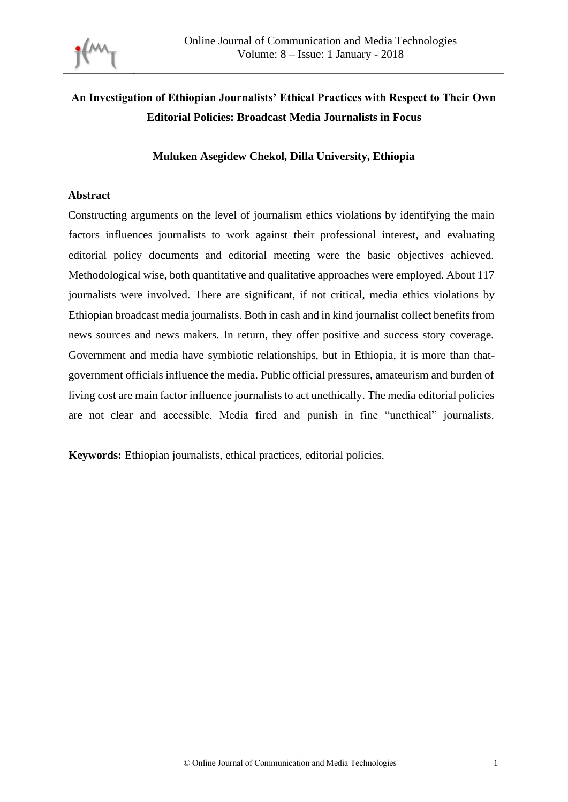

# **An Investigation of Ethiopian Journalists' Ethical Practices with Respect to Their Own Editorial Policies: Broadcast Media Journalists in Focus**

#### **Muluken Asegidew Chekol, Dilla University, Ethiopia**

#### **Abstract**

Constructing arguments on the level of journalism ethics violations by identifying the main factors influences journalists to work against their professional interest, and evaluating editorial policy documents and editorial meeting were the basic objectives achieved. Methodological wise, both quantitative and qualitative approaches were employed. About 117 journalists were involved. There are significant, if not critical, media ethics violations by Ethiopian broadcast media journalists. Both in cash and in kind journalist collect benefits from news sources and news makers. In return, they offer positive and success story coverage. Government and media have symbiotic relationships, but in Ethiopia, it is more than thatgovernment officials influence the media. Public official pressures, amateurism and burden of living cost are main factor influence journalists to act unethically. The media editorial policies are not clear and accessible. Media fired and punish in fine "unethical" journalists.

**Keywords:** Ethiopian journalists, ethical practices, editorial policies.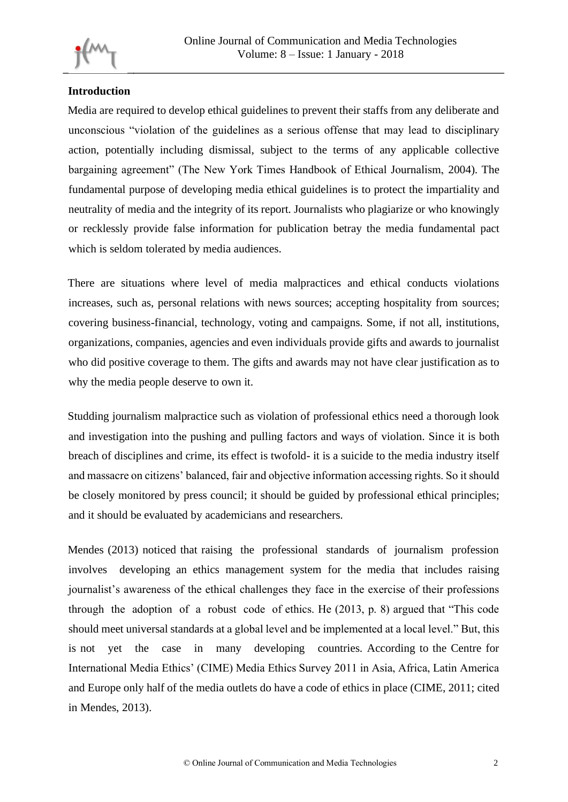

## **Introduction**

Media are required to develop ethical guidelines to prevent their staffs from any deliberate and unconscious "violation of the guidelines as a serious offense that may lead to disciplinary action, potentially including dismissal, subject to the terms of any applicable collective bargaining agreement" (The New York Times Handbook of Ethical Journalism, 2004). The fundamental purpose of developing media ethical guidelines is to protect the impartiality and neutrality of media and the integrity of its report. Journalists who plagiarize or who knowingly or recklessly provide false information for publication betray the media fundamental pact which is seldom tolerated by media audiences.

There are situations where level of media malpractices and ethical conducts violations increases, such as, personal relations with news sources; accepting hospitality from sources; covering business-financial, technology, voting and campaigns. Some, if not all, institutions, organizations, companies, agencies and even individuals provide gifts and awards to journalist who did positive coverage to them. The gifts and awards may not have clear justification as to why the media people deserve to own it.

Studding journalism malpractice such as violation of professional ethics need a thorough look and investigation into the pushing and pulling factors and ways of violation. Since it is both breach of disciplines and crime, its effect is twofold- it is a suicide to the media industry itself and massacre on citizens' balanced, fair and objective information accessing rights. So it should be closely monitored by press council; it should be guided by professional ethical principles; and it should be evaluated by academicians and researchers.

Mendes (2013) noticed that raising the professional standards of journalism profession involves developing an ethics management system for the media that includes raising journalist's awareness of the ethical challenges they face in the exercise of their professions through the adoption of a robust code of ethics. He (2013, p. 8) argued that "This code should meet universal standards at a global level and be implemented at a local level." But, this is not yet the case in many developing countries. According to the Centre for International Media Ethics' (CIME) Media Ethics Survey 2011 in Asia, Africa, Latin America and Europe only half of the media outlets do have a code of ethics in place (CIME, 2011; cited in Mendes, 2013).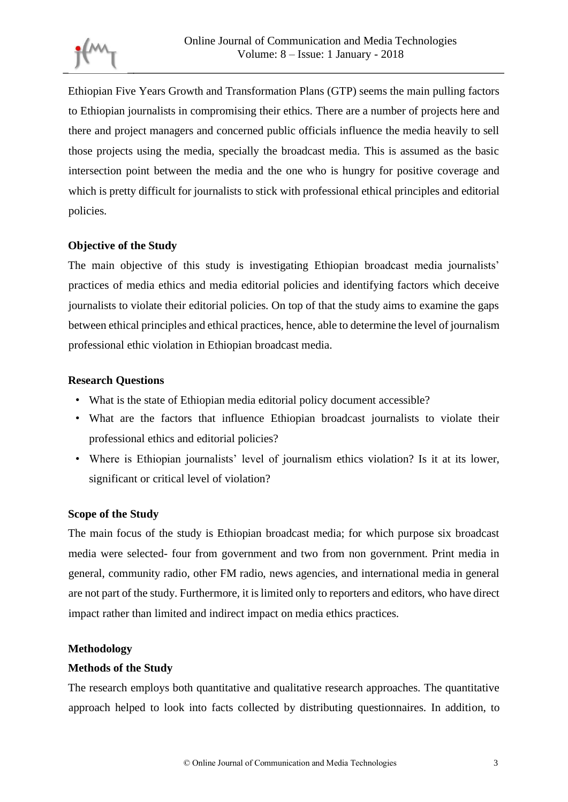Ethiopian Five Years Growth and Transformation Plans (GTP) seems the main pulling factors to Ethiopian journalists in compromising their ethics. There are a number of projects here and there and project managers and concerned public officials influence the media heavily to sell those projects using the media, specially the broadcast media. This is assumed as the basic intersection point between the media and the one who is hungry for positive coverage and which is pretty difficult for journalists to stick with professional ethical principles and editorial policies.

## **Objective of the Study**

The main objective of this study is investigating Ethiopian broadcast media journalists' practices of media ethics and media editorial policies and identifying factors which deceive journalists to violate their editorial policies. On top of that the study aims to examine the gaps between ethical principles and ethical practices, hence, able to determine the level of journalism professional ethic violation in Ethiopian broadcast media.

## **Research Questions**

- What is the state of Ethiopian media editorial policy document accessible?
- What are the factors that influence Ethiopian broadcast journalists to violate their professional ethics and editorial policies?
- Where is Ethiopian journalists' level of journalism ethics violation? Is it at its lower, significant or critical level of violation?

## **Scope of the Study**

The main focus of the study is Ethiopian broadcast media; for which purpose six broadcast media were selected- four from government and two from non government. Print media in general, community radio, other FM radio, news agencies, and international media in general are not part of the study. Furthermore, it is limited only to reporters and editors, who have direct impact rather than limited and indirect impact on media ethics practices.

### **Methodology**

### **Methods of the Study**

The research employs both quantitative and qualitative research approaches. The quantitative approach helped to look into facts collected by distributing questionnaires. In addition, to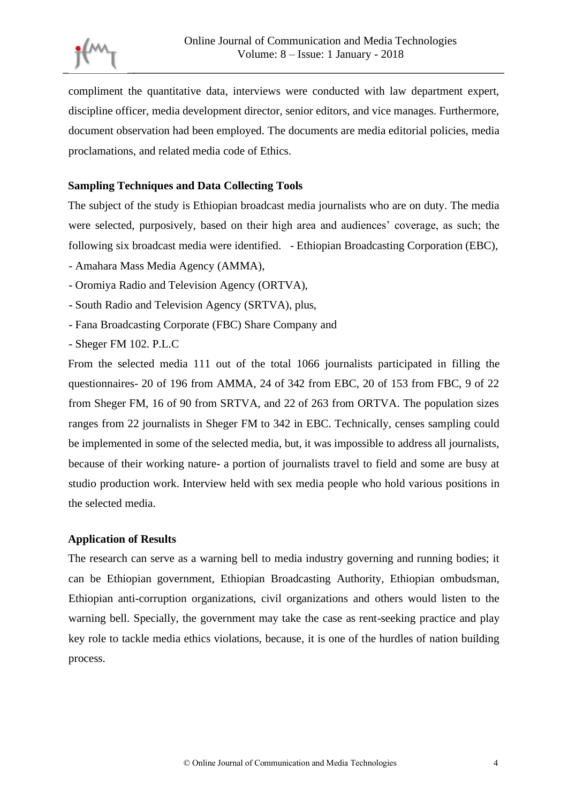compliment the quantitative data, interviews were conducted with law department expert, discipline officer, media development director, senior editors, and vice manages. Furthermore, document observation had been employed. The documents are media editorial policies, media proclamations, and related media code of Ethics.

## **Sampling Techniques and Data Collecting Tools**

The subject of the study is Ethiopian broadcast media journalists who are on duty. The media were selected, purposively, based on their high area and audiences' coverage, as such; the following six broadcast media were identified. - Ethiopian Broadcasting Corporation (EBC),

- Amahara Mass Media Agency (AMMA),
- Oromiya Radio and Television Agency (ORTVA),
- South Radio and Television Agency (SRTVA), plus,
- Fana Broadcasting Corporate (FBC) Share Company and
- Sheger FM 102. P.L.C

From the selected media 111 out of the total 1066 journalists participated in filling the questionnaires- 20 of 196 from AMMA, 24 of 342 from EBC, 20 of 153 from FBC, 9 of 22 from Sheger FM, 16 of 90 from SRTVA, and 22 of 263 from ORTVA. The population sizes ranges from 22 journalists in Sheger FM to 342 in EBC. Technically, censes sampling could be implemented in some of the selected media, but, it was impossible to address all journalists, because of their working nature- a portion of journalists travel to field and some are busy at studio production work. Interview held with sex media people who hold various positions in the selected media.

### **Application of Results**

The research can serve as a warning bell to media industry governing and running bodies; it can be Ethiopian government, Ethiopian Broadcasting Authority, Ethiopian ombudsman, Ethiopian anti-corruption organizations, civil organizations and others would listen to the warning bell. Specially, the government may take the case as rent-seeking practice and play key role to tackle media ethics violations, because, it is one of the hurdles of nation building process.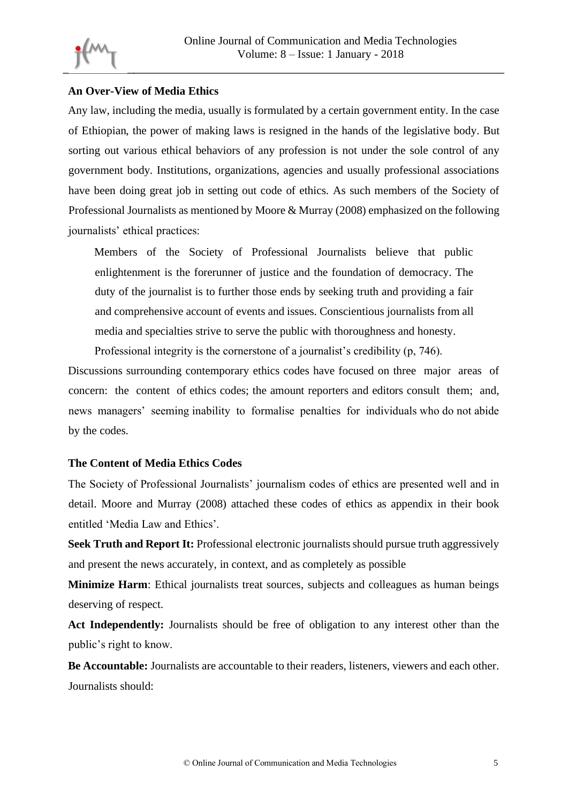## **An Over-View of Media Ethics**

Any law, including the media, usually is formulated by a certain government entity. In the case of Ethiopian, the power of making laws is resigned in the hands of the legislative body. But sorting out various ethical behaviors of any profession is not under the sole control of any government body. Institutions, organizations, agencies and usually professional associations have been doing great job in setting out code of ethics. As such members of the Society of Professional Journalists as mentioned by Moore & Murray (2008) emphasized on the following journalists' ethical practices:

Members of the Society of Professional Journalists believe that public enlightenment is the forerunner of justice and the foundation of democracy. The duty of the journalist is to further those ends by seeking truth and providing a fair and comprehensive account of events and issues. Conscientious journalists from all media and specialties strive to serve the public with thoroughness and honesty.

Professional integrity is the cornerstone of a journalist's credibility (p, 746).

Discussions surrounding contemporary ethics codes have focused on three major areas of concern: the content of ethics codes; the amount reporters and editors consult them; and, news managers' seeming inability to formalise penalties for individuals who do not abide by the codes.

### **The Content of Media Ethics Codes**

The Society of Professional Journalists' journalism codes of ethics are presented well and in detail. Moore and Murray (2008) attached these codes of ethics as appendix in their book entitled 'Media Law and Ethics'.

**Seek Truth and Report It:** Professional electronic journalists should pursue truth aggressively and present the news accurately, in context, and as completely as possible

**Minimize Harm**: Ethical journalists treat sources, subjects and colleagues as human beings deserving of respect.

**Act Independently:** Journalists should be free of obligation to any interest other than the public's right to know.

**Be Accountable:** Journalists are accountable to their readers, listeners, viewers and each other. Journalists should: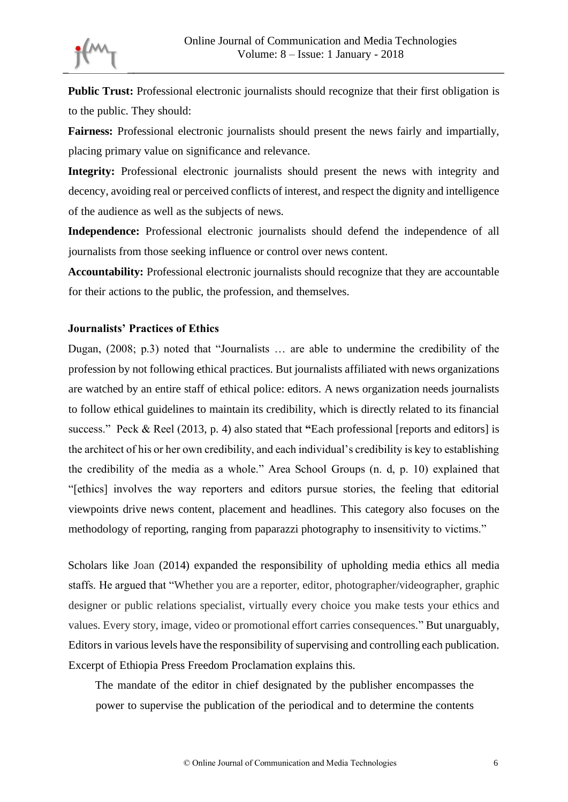**Public Trust:** Professional electronic journalists should recognize that their first obligation is to the public. They should:

**Fairness:** Professional electronic journalists should present the news fairly and impartially, placing primary value on significance and relevance.

**Integrity:** Professional electronic journalists should present the news with integrity and decency, avoiding real or perceived conflicts of interest, and respect the dignity and intelligence of the audience as well as the subjects of news.

**Independence:** Professional electronic journalists should defend the independence of all journalists from those seeking influence or control over news content.

**Accountability:** Professional electronic journalists should recognize that they are accountable for their actions to the public, the profession, and themselves.

### **Journalists' Practices of Ethics**

Dugan, (2008; p.3) noted that "Journalists … are able to undermine the credibility of the profession by not following ethical practices. But journalists affiliated with news organizations are watched by an entire staff of ethical police: editors. A news organization needs journalists to follow ethical guidelines to maintain its credibility, which is directly related to its financial success." Peck & Reel (2013, p. 4) also stated that **"**Each professional [reports and editors] is the architect of his or her own credibility, and each individual's credibility is key to establishing the credibility of the media as a whole." Area School Groups (n. d, p. 10) explained that "[ethics] involves the way reporters and editors pursue stories, the feeling that editorial viewpoints drive news content, placement and headlines. This category also focuses on the methodology of reporting, ranging from paparazzi photography to insensitivity to victims."

Scholars like Joan (2014) expanded the responsibility of upholding media ethics all media staffs. He argued that "Whether you are a reporter, editor, photographer/videographer, graphic designer or public relations specialist, virtually every choice you make tests your ethics and values. Every story, image, video or promotional effort carries consequences." But unarguably, Editors in various levels have the responsibility of supervising and controlling each publication. Excerpt of Ethiopia Press Freedom Proclamation explains this.

The mandate of the editor in chief designated by the publisher encompasses the power to supervise the publication of the periodical and to determine the contents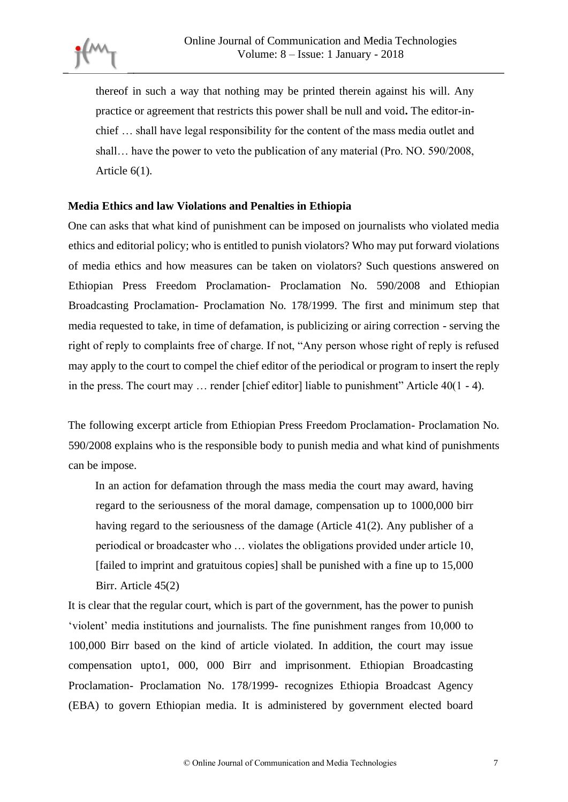thereof in such a way that nothing may be printed therein against his will. Any practice or agreement that restricts this power shall be null and void**.** The editor-inchief … shall have legal responsibility for the content of the mass media outlet and shall… have the power to veto the publication of any material (Pro. NO. 590/2008, Article 6(1).

#### **Media Ethics and law Violations and Penalties in Ethiopia**

One can asks that what kind of punishment can be imposed on journalists who violated media ethics and editorial policy; who is entitled to punish violators? Who may put forward violations of media ethics and how measures can be taken on violators? Such questions answered on Ethiopian Press Freedom Proclamation- Proclamation No. 590/2008 and Ethiopian Broadcasting Proclamation- Proclamation No. 178/1999. The first and minimum step that media requested to take, in time of defamation, is publicizing or airing correction - serving the right of reply to complaints free of charge. If not, "Any person whose right of reply is refused may apply to the court to compel the chief editor of the periodical or program to insert the reply in the press. The court may ... render [chief editor] liable to punishment" Article 40(1 - 4).

The following excerpt article from Ethiopian Press Freedom Proclamation- Proclamation No. 590/2008 explains who is the responsible body to punish media and what kind of punishments can be impose.

In an action for defamation through the mass media the court may award, having regard to the seriousness of the moral damage, compensation up to 1000,000 birr having regard to the seriousness of the damage (Article 41(2). Any publisher of a periodical or broadcaster who … violates the obligations provided under article 10, [failed to imprint and gratuitous copies] shall be punished with a fine up to 15,000 Birr. Article 45(2)

It is clear that the regular court, which is part of the government, has the power to punish 'violent' media institutions and journalists. The fine punishment ranges from 10,000 to 100,000 Birr based on the kind of article violated. In addition, the court may issue compensation upto1, 000, 000 Birr and imprisonment. Ethiopian Broadcasting Proclamation- Proclamation No. 178/1999- recognizes Ethiopia Broadcast Agency (EBA) to govern Ethiopian media. It is administered by government elected board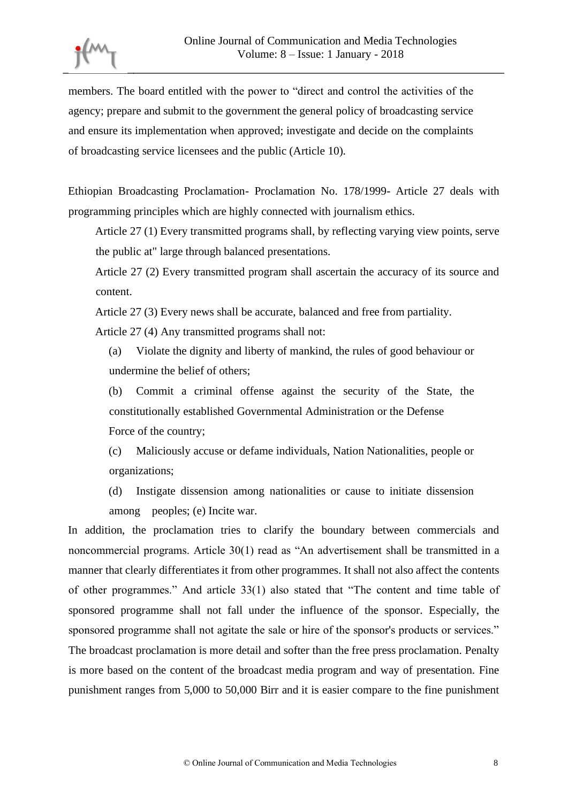

members. The board entitled with the power to "direct and control the activities of the agency; prepare and submit to the government the general policy of broadcasting service and ensure its implementation when approved; investigate and decide on the complaints of broadcasting service licensees and the public (Article 10).

Ethiopian Broadcasting Proclamation- Proclamation No. 178/1999- Article 27 deals with programming principles which are highly connected with journalism ethics.

Article 27 (1) Every transmitted programs shall, by reflecting varying view points, serve the public at" large through balanced presentations.

Article 27 (2) Every transmitted program shall ascertain the accuracy of its source and content.

Article 27 (3) Every news shall be accurate, balanced and free from partiality.

Article 27 (4) Any transmitted programs shall not:

(a) Violate the dignity and liberty of mankind, the rules of good behaviour or undermine the belief of others;

(b) Commit a criminal offense against the security of the State, the constitutionally established Governmental Administration or the Defense Force of the country;

(c) Maliciously accuse or defame individuals, Nation Nationalities, people or organizations;

(d) Instigate dissension among nationalities or cause to initiate dissension among peoples; (e) Incite war.

In addition, the proclamation tries to clarify the boundary between commercials and noncommercial programs. Article 30(1) read as "An advertisement shall be transmitted in a manner that clearly differentiates it from other programmes. It shall not also affect the contents of other programmes." And article 33(1) also stated that "The content and time table of sponsored programme shall not fall under the influence of the sponsor. Especially, the sponsored programme shall not agitate the sale or hire of the sponsor's products or services." The broadcast proclamation is more detail and softer than the free press proclamation. Penalty is more based on the content of the broadcast media program and way of presentation. Fine punishment ranges from 5,000 to 50,000 Birr and it is easier compare to the fine punishment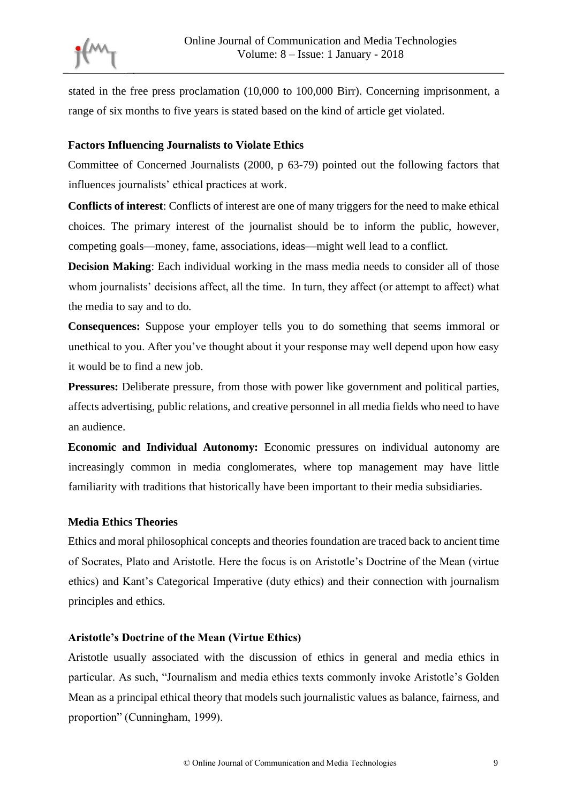stated in the free press proclamation (10,000 to 100,000 Birr). Concerning imprisonment, a range of six months to five years is stated based on the kind of article get violated.

### **Factors Influencing Journalists to Violate Ethics**

Committee of Concerned Journalists (2000, p 63-79) pointed out the following factors that influences journalists' ethical practices at work.

**Conflicts of interest**: Conflicts of interest are one of many triggers for the need to make ethical choices. The primary interest of the journalist should be to inform the public, however, competing goals—money, fame, associations, ideas—might well lead to a conflict.

**Decision Making**: Each individual working in the mass media needs to consider all of those whom journalists' decisions affect, all the time. In turn, they affect (or attempt to affect) what the media to say and to do.

**Consequences:** Suppose your employer tells you to do something that seems immoral or unethical to you. After you've thought about it your response may well depend upon how easy it would be to find a new job.

**Pressures:** Deliberate pressure, from those with power like government and political parties, affects advertising, public relations, and creative personnel in all media fields who need to have an audience.

**Economic and Individual Autonomy:** Economic pressures on individual autonomy are increasingly common in media conglomerates, where top management may have little familiarity with traditions that historically have been important to their media subsidiaries.

### **Media Ethics Theories**

Ethics and moral philosophical concepts and theories foundation are traced back to ancient time of Socrates, Plato and Aristotle. Here the focus is on Aristotle's Doctrine of the Mean (virtue ethics) and Kant's Categorical Imperative (duty ethics) and their connection with journalism principles and ethics.

### **Aristotle's Doctrine of the Mean (Virtue Ethics)**

Aristotle usually associated with the discussion of ethics in general and media ethics in particular. As such, "Journalism and media ethics texts commonly invoke Aristotle's Golden Mean as a principal ethical theory that models such journalistic values as balance, fairness, and proportion" (Cunningham, 1999).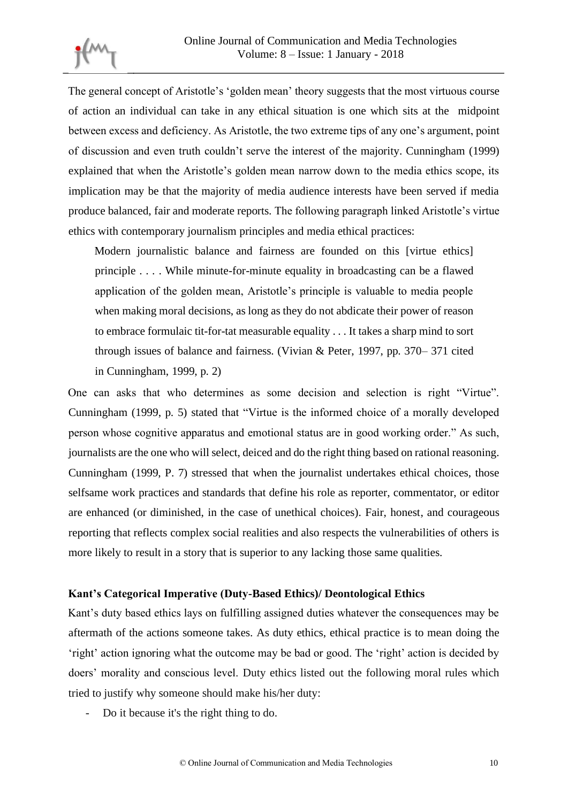The general concept of Aristotle's 'golden mean' theory suggests that the most virtuous course of action an individual can take in any ethical situation is one which sits at the midpoint between excess and deficiency. As Aristotle, the two extreme tips of any one's argument, point of discussion and even truth couldn't serve the interest of the majority. Cunningham (1999) explained that when the Aristotle's golden mean narrow down to the media ethics scope, its implication may be that the majority of media audience interests have been served if media produce balanced, fair and moderate reports. The following paragraph linked Aristotle's virtue ethics with contemporary journalism principles and media ethical practices:

Modern journalistic balance and fairness are founded on this [virtue ethics] principle . . . . While minute-for-minute equality in broadcasting can be a flawed application of the golden mean, Aristotle's principle is valuable to media people when making moral decisions, as long as they do not abdicate their power of reason to embrace formulaic tit-for-tat measurable equality . . . It takes a sharp mind to sort through issues of balance and fairness. (Vivian & Peter, 1997, pp. 370– 371 cited in Cunningham, 1999, p. 2)

One can asks that who determines as some decision and selection is right "Virtue". Cunningham (1999, p. 5) stated that "Virtue is the informed choice of a morally developed person whose cognitive apparatus and emotional status are in good working order." As such, journalists are the one who will select, deiced and do the right thing based on rational reasoning. Cunningham (1999, P. 7) stressed that when the journalist undertakes ethical choices, those selfsame work practices and standards that define his role as reporter, commentator, or editor are enhanced (or diminished, in the case of unethical choices). Fair, honest, and courageous reporting that reflects complex social realities and also respects the vulnerabilities of others is more likely to result in a story that is superior to any lacking those same qualities.

### **Kant's Categorical Imperative (Duty-Based Ethics)/ Deontological Ethics**

Kant's duty based ethics lays on fulfilling assigned duties whatever the consequences may be aftermath of the actions someone takes. As duty ethics, ethical practice is to mean doing the 'right' action ignoring what the outcome may be bad or good. The 'right' action is decided by doers' morality and conscious level. Duty ethics listed out the following moral rules which tried to justify why someone should make his/her duty:

- Do it because it's the right thing to do.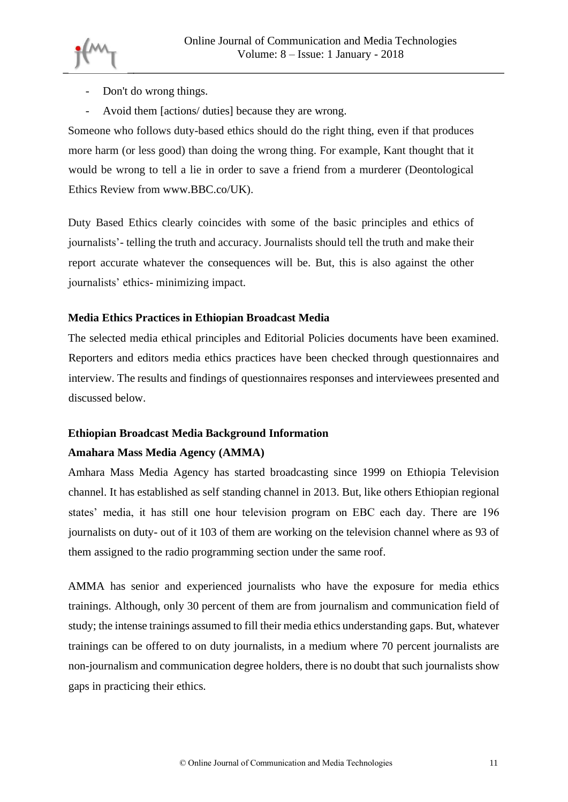

- Don't do wrong things.
- Avoid them [actions/ duties] because they are wrong.

Someone who follows duty-based ethics should do the right thing, even if that produces more harm (or less good) than doing the wrong thing. For example, Kant thought that it would be wrong to tell a lie in order to save a friend from a murderer (Deontological Ethics Review from www.BBC.co/UK).

Duty Based Ethics clearly coincides with some of the basic principles and ethics of journalists'- telling the truth and accuracy. Journalists should tell the truth and make their report accurate whatever the consequences will be. But, this is also against the other journalists' ethics- minimizing impact.

## **Media Ethics Practices in Ethiopian Broadcast Media**

The selected media ethical principles and Editorial Policies documents have been examined. Reporters and editors media ethics practices have been checked through questionnaires and interview. The results and findings of questionnaires responses and interviewees presented and discussed below.

# **Ethiopian Broadcast Media Background Information Amahara Mass Media Agency (AMMA)**

Amhara Mass Media Agency has started broadcasting since 1999 on Ethiopia Television channel. It has established as self standing channel in 2013. But, like others Ethiopian regional states' media, it has still one hour television program on EBC each day. There are 196 journalists on duty- out of it 103 of them are working on the television channel where as 93 of them assigned to the radio programming section under the same roof.

AMMA has senior and experienced journalists who have the exposure for media ethics trainings. Although, only 30 percent of them are from journalism and communication field of study; the intense trainings assumed to fill their media ethics understanding gaps. But, whatever trainings can be offered to on duty journalists, in a medium where 70 percent journalists are non-journalism and communication degree holders, there is no doubt that such journalists show gaps in practicing their ethics.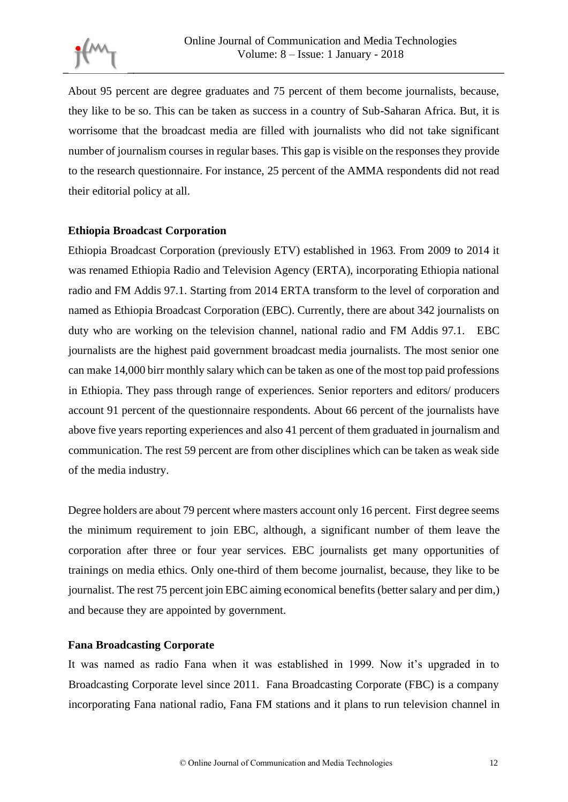About 95 percent are degree graduates and 75 percent of them become journalists, because, they like to be so. This can be taken as success in a country of Sub-Saharan Africa. But, it is worrisome that the broadcast media are filled with journalists who did not take significant number of journalism courses in regular bases. This gap is visible on the responses they provide to the research questionnaire. For instance, 25 percent of the AMMA respondents did not read their editorial policy at all.

### **Ethiopia Broadcast Corporation**

Ethiopia Broadcast Corporation (previously ETV) established in 1963. From 2009 to 2014 it was renamed Ethiopia Radio and Television Agency (ERTA), incorporating Ethiopia national radio and FM Addis 97.1. Starting from 2014 ERTA transform to the level of corporation and named as Ethiopia Broadcast Corporation (EBC). Currently, there are about 342 journalists on duty who are working on the television channel, national radio and FM Addis 97.1. EBC journalists are the highest paid government broadcast media journalists. The most senior one can make 14,000 birr monthly salary which can be taken as one of the most top paid professions in Ethiopia. They pass through range of experiences. Senior reporters and editors/ producers account 91 percent of the questionnaire respondents. About 66 percent of the journalists have above five years reporting experiences and also 41 percent of them graduated in journalism and communication. The rest 59 percent are from other disciplines which can be taken as weak side of the media industry.

Degree holders are about 79 percent where masters account only 16 percent. First degree seems the minimum requirement to join EBC, although, a significant number of them leave the corporation after three or four year services. EBC journalists get many opportunities of trainings on media ethics. Only one-third of them become journalist, because, they like to be journalist. The rest 75 percent join EBC aiming economical benefits (better salary and per dim,) and because they are appointed by government.

### **Fana Broadcasting Corporate**

It was named as radio Fana when it was established in 1999. Now it's upgraded in to Broadcasting Corporate level since 2011. Fana Broadcasting Corporate (FBC) is a company incorporating Fana national radio, Fana FM stations and it plans to run television channel in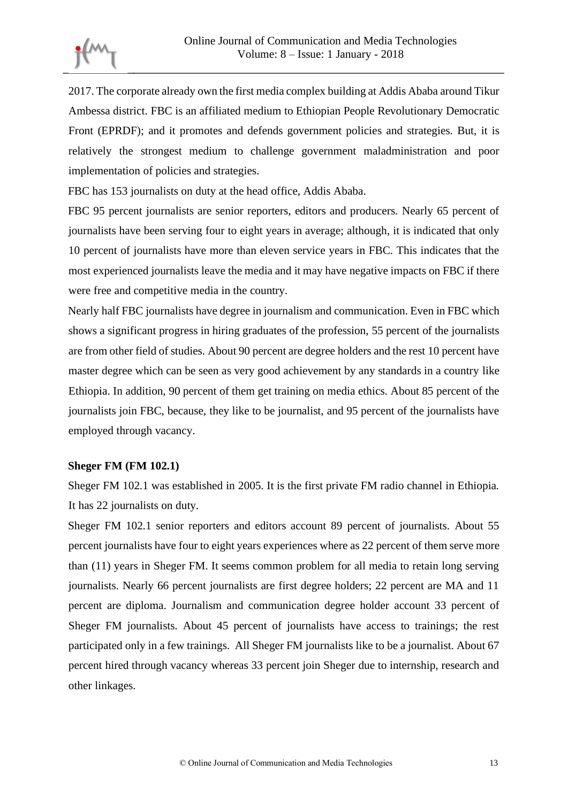2017. The corporate already own the first media complex building at Addis Ababa around Tikur Ambessa district. FBC is an affiliated medium to Ethiopian People Revolutionary Democratic Front (EPRDF); and it promotes and defends government policies and strategies. But, it is relatively the strongest medium to challenge government maladministration and poor implementation of policies and strategies.

FBC has 153 journalists on duty at the head office, Addis Ababa.

FBC 95 percent journalists are senior reporters, editors and producers. Nearly 65 percent of journalists have been serving four to eight years in average; although, it is indicated that only 10 percent of journalists have more than eleven service years in FBC. This indicates that the most experienced journalists leave the media and it may have negative impacts on FBC if there were free and competitive media in the country.

Nearly half FBC journalists have degree in journalism and communication. Even in FBC which shows a significant progress in hiring graduates of the profession, 55 percent of the journalists are from other field of studies. About 90 percent are degree holders and the rest 10 percent have master degree which can be seen as very good achievement by any standards in a country like Ethiopia. In addition, 90 percent of them get training on media ethics. About 85 percent of the journalists join FBC, because, they like to be journalist, and 95 percent of the journalists have employed through vacancy.

### **Sheger FM (FM 102.1)**

Sheger FM 102.1 was established in 2005. It is the first private FM radio channel in Ethiopia. It has 22 journalists on duty.

Sheger FM 102.1 senior reporters and editors account 89 percent of journalists. About 55 percent journalists have four to eight years experiences where as 22 percent of them serve more than (11) years in Sheger FM. It seems common problem for all media to retain long serving journalists. Nearly 66 percent journalists are first degree holders; 22 percent are MA and 11 percent are diploma. Journalism and communication degree holder account 33 percent of Sheger FM journalists. About 45 percent of journalists have access to trainings; the rest participated only in a few trainings. All Sheger FM journalists like to be a journalist. About 67 percent hired through vacancy whereas 33 percent join Sheger due to internship, research and other linkages.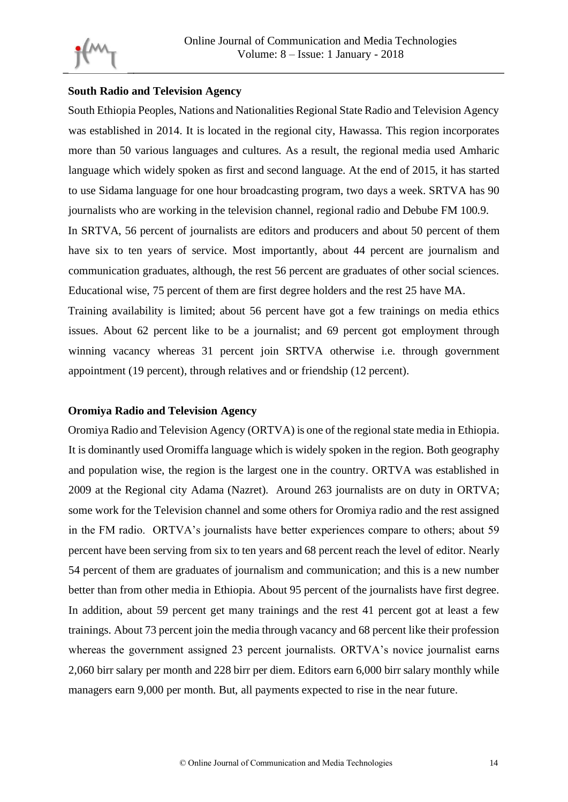

#### **South Radio and Television Agency**

South Ethiopia Peoples, Nations and Nationalities Regional State Radio and Television Agency was established in 2014. It is located in the regional city, Hawassa. This region incorporates more than 50 various languages and cultures. As a result, the regional media used Amharic language which widely spoken as first and second language. At the end of 2015, it has started to use Sidama language for one hour broadcasting program, two days a week. SRTVA has 90 journalists who are working in the television channel, regional radio and Debube FM 100.9. In SRTVA, 56 percent of journalists are editors and producers and about 50 percent of them have six to ten years of service. Most importantly, about 44 percent are journalism and communication graduates, although, the rest 56 percent are graduates of other social sciences. Educational wise, 75 percent of them are first degree holders and the rest 25 have MA.

Training availability is limited; about 56 percent have got a few trainings on media ethics issues. About 62 percent like to be a journalist; and 69 percent got employment through winning vacancy whereas 31 percent join SRTVA otherwise i.e. through government appointment (19 percent), through relatives and or friendship (12 percent).

### **Oromiya Radio and Television Agency**

Oromiya Radio and Television Agency (ORTVA) is one of the regional state media in Ethiopia. It is dominantly used Oromiffa language which is widely spoken in the region. Both geography and population wise, the region is the largest one in the country. ORTVA was established in 2009 at the Regional city Adama (Nazret). Around 263 journalists are on duty in ORTVA; some work for the Television channel and some others for Oromiya radio and the rest assigned in the FM radio. ORTVA's journalists have better experiences compare to others; about 59 percent have been serving from six to ten years and 68 percent reach the level of editor. Nearly 54 percent of them are graduates of journalism and communication; and this is a new number better than from other media in Ethiopia. About 95 percent of the journalists have first degree. In addition, about 59 percent get many trainings and the rest 41 percent got at least a few trainings. About 73 percent join the media through vacancy and 68 percent like their profession whereas the government assigned 23 percent journalists. ORTVA's novice journalist earns 2,060 birr salary per month and 228 birr per diem. Editors earn 6,000 birr salary monthly while managers earn 9,000 per month. But, all payments expected to rise in the near future.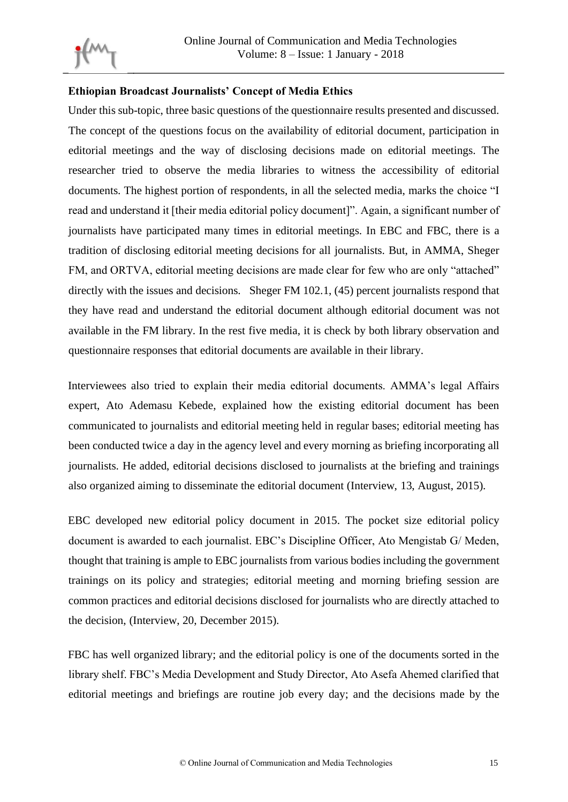

### **Ethiopian Broadcast Journalists' Concept of Media Ethics**

Under this sub-topic, three basic questions of the questionnaire results presented and discussed. The concept of the questions focus on the availability of editorial document, participation in editorial meetings and the way of disclosing decisions made on editorial meetings. The researcher tried to observe the media libraries to witness the accessibility of editorial documents. The highest portion of respondents, in all the selected media, marks the choice "I read and understand it [their media editorial policy document]". Again, a significant number of journalists have participated many times in editorial meetings. In EBC and FBC, there is a tradition of disclosing editorial meeting decisions for all journalists. But, in AMMA, Sheger FM, and ORTVA, editorial meeting decisions are made clear for few who are only "attached" directly with the issues and decisions. Sheger FM 102.1, (45) percent journalists respond that they have read and understand the editorial document although editorial document was not available in the FM library. In the rest five media, it is check by both library observation and questionnaire responses that editorial documents are available in their library.

Interviewees also tried to explain their media editorial documents. AMMA's legal Affairs expert, Ato Ademasu Kebede, explained how the existing editorial document has been communicated to journalists and editorial meeting held in regular bases; editorial meeting has been conducted twice a day in the agency level and every morning as briefing incorporating all journalists. He added, editorial decisions disclosed to journalists at the briefing and trainings also organized aiming to disseminate the editorial document (Interview, 13, August, 2015).

EBC developed new editorial policy document in 2015. The pocket size editorial policy document is awarded to each journalist. EBC's Discipline Officer, Ato Mengistab G/ Meden, thought that training is ample to EBC journalists from various bodies including the government trainings on its policy and strategies; editorial meeting and morning briefing session are common practices and editorial decisions disclosed for journalists who are directly attached to the decision, (Interview, 20, December 2015).

FBC has well organized library; and the editorial policy is one of the documents sorted in the library shelf. FBC's Media Development and Study Director, Ato Asefa Ahemed clarified that editorial meetings and briefings are routine job every day; and the decisions made by the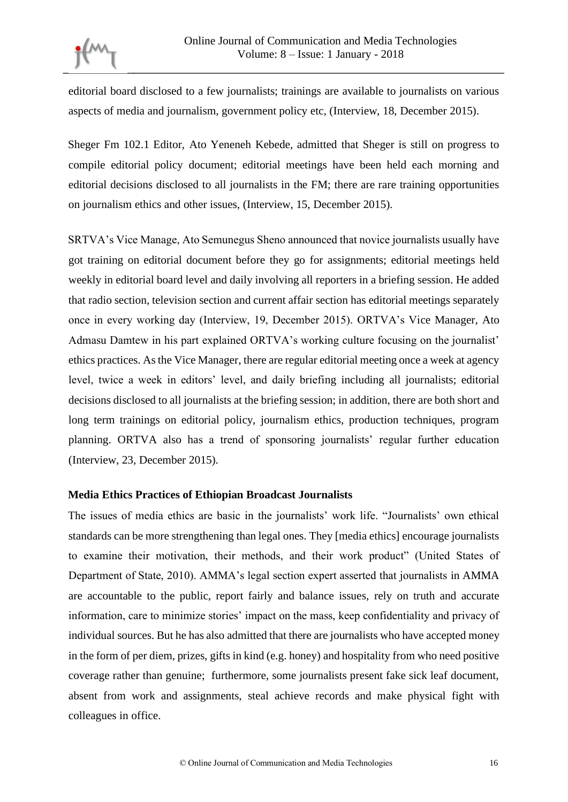editorial board disclosed to a few journalists; trainings are available to journalists on various aspects of media and journalism, government policy etc, (Interview, 18, December 2015).

Sheger Fm 102.1 Editor, Ato Yeneneh Kebede, admitted that Sheger is still on progress to compile editorial policy document; editorial meetings have been held each morning and editorial decisions disclosed to all journalists in the FM; there are rare training opportunities on journalism ethics and other issues, (Interview, 15, December 2015).

SRTVA's Vice Manage, Ato Semunegus Sheno announced that novice journalists usually have got training on editorial document before they go for assignments; editorial meetings held weekly in editorial board level and daily involving all reporters in a briefing session. He added that radio section, television section and current affair section has editorial meetings separately once in every working day (Interview, 19, December 2015). ORTVA's Vice Manager, Ato Admasu Damtew in his part explained ORTVA's working culture focusing on the journalist' ethics practices. As the Vice Manager, there are regular editorial meeting once a week at agency level, twice a week in editors' level, and daily briefing including all journalists; editorial decisions disclosed to all journalists at the briefing session; in addition, there are both short and long term trainings on editorial policy, journalism ethics, production techniques, program planning. ORTVA also has a trend of sponsoring journalists' regular further education (Interview, 23, December 2015).

### **Media Ethics Practices of Ethiopian Broadcast Journalists**

The issues of media ethics are basic in the journalists' work life. "Journalists' own ethical standards can be more strengthening than legal ones. They [media ethics] encourage journalists to examine their motivation, their methods, and their work product" (United States of Department of State, 2010). AMMA's legal section expert asserted that journalists in AMMA are accountable to the public, report fairly and balance issues, rely on truth and accurate information, care to minimize stories' impact on the mass, keep confidentiality and privacy of individual sources. But he has also admitted that there are journalists who have accepted money in the form of per diem, prizes, gifts in kind (e.g. honey) and hospitality from who need positive coverage rather than genuine; furthermore, some journalists present fake sick leaf document, absent from work and assignments, steal achieve records and make physical fight with colleagues in office.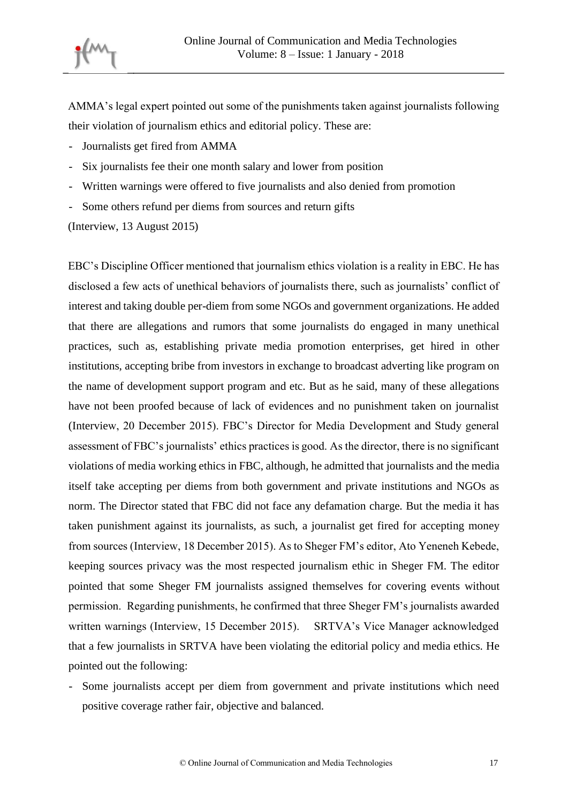

AMMA's legal expert pointed out some of the punishments taken against journalists following their violation of journalism ethics and editorial policy. These are:

- Journalists get fired from AMMA
- Six journalists fee their one month salary and lower from position
- Written warnings were offered to five journalists and also denied from promotion
- Some others refund per diems from sources and return gifts

(Interview, 13 August 2015)

EBC's Discipline Officer mentioned that journalism ethics violation is a reality in EBC. He has disclosed a few acts of unethical behaviors of journalists there, such as journalists' conflict of interest and taking double per-diem from some NGOs and government organizations. He added that there are allegations and rumors that some journalists do engaged in many unethical practices, such as, establishing private media promotion enterprises, get hired in other institutions, accepting bribe from investors in exchange to broadcast adverting like program on the name of development support program and etc. But as he said, many of these allegations have not been proofed because of lack of evidences and no punishment taken on journalist (Interview, 20 December 2015). FBC's Director for Media Development and Study general assessment of FBC's journalists' ethics practices is good. As the director, there is no significant violations of media working ethics in FBC, although, he admitted that journalists and the media itself take accepting per diems from both government and private institutions and NGOs as norm. The Director stated that FBC did not face any defamation charge. But the media it has taken punishment against its journalists, as such, a journalist get fired for accepting money from sources (Interview, 18 December 2015). As to Sheger FM's editor, Ato Yeneneh Kebede, keeping sources privacy was the most respected journalism ethic in Sheger FM. The editor pointed that some Sheger FM journalists assigned themselves for covering events without permission. Regarding punishments, he confirmed that three Sheger FM's journalists awarded written warnings (Interview, 15 December 2015). SRTVA's Vice Manager acknowledged that a few journalists in SRTVA have been violating the editorial policy and media ethics. He pointed out the following:

- Some journalists accept per diem from government and private institutions which need positive coverage rather fair, objective and balanced.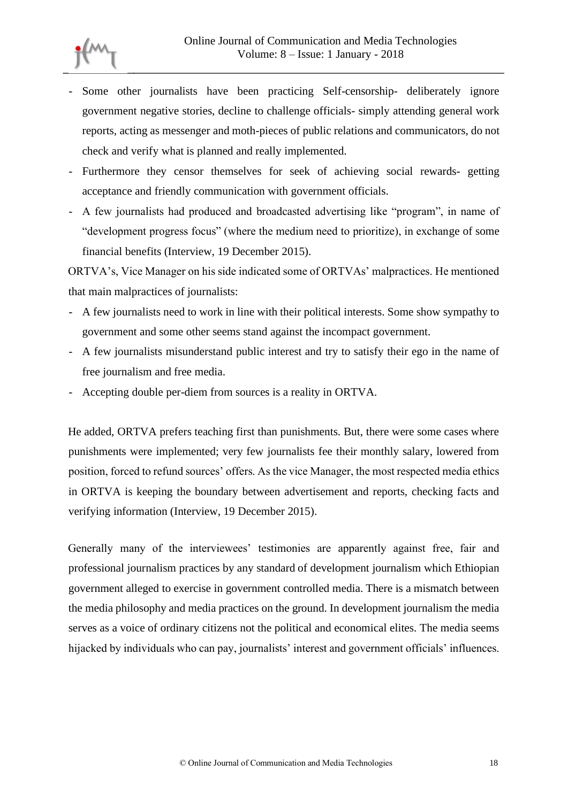- Some other journalists have been practicing Self-censorship- deliberately ignore government negative stories, decline to challenge officials- simply attending general work reports, acting as messenger and moth-pieces of public relations and communicators, do not check and verify what is planned and really implemented.
- Furthermore they censor themselves for seek of achieving social rewards- getting acceptance and friendly communication with government officials.
- A few journalists had produced and broadcasted advertising like "program", in name of "development progress focus" (where the medium need to prioritize), in exchange of some financial benefits (Interview, 19 December 2015).

ORTVA's, Vice Manager on his side indicated some of ORTVAs' malpractices. He mentioned that main malpractices of journalists:

- A few journalists need to work in line with their political interests. Some show sympathy to government and some other seems stand against the incompact government.
- A few journalists misunderstand public interest and try to satisfy their ego in the name of free journalism and free media.
- Accepting double per-diem from sources is a reality in ORTVA.

He added, ORTVA prefers teaching first than punishments. But, there were some cases where punishments were implemented; very few journalists fee their monthly salary, lowered from position, forced to refund sources' offers. As the vice Manager, the most respected media ethics in ORTVA is keeping the boundary between advertisement and reports, checking facts and verifying information (Interview, 19 December 2015).

Generally many of the interviewees' testimonies are apparently against free, fair and professional journalism practices by any standard of development journalism which Ethiopian government alleged to exercise in government controlled media. There is a mismatch between the media philosophy and media practices on the ground. In development journalism the media serves as a voice of ordinary citizens not the political and economical elites. The media seems hijacked by individuals who can pay, journalists' interest and government officials' influences.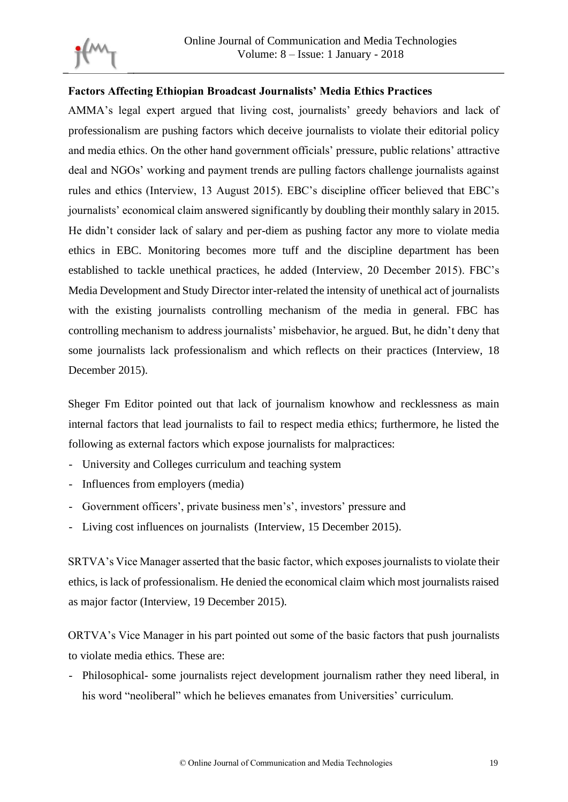

## **Factors Affecting Ethiopian Broadcast Journalists' Media Ethics Practices**

AMMA's legal expert argued that living cost, journalists' greedy behaviors and lack of professionalism are pushing factors which deceive journalists to violate their editorial policy and media ethics. On the other hand government officials' pressure, public relations' attractive deal and NGOs' working and payment trends are pulling factors challenge journalists against rules and ethics (Interview, 13 August 2015). EBC's discipline officer believed that EBC's journalists' economical claim answered significantly by doubling their monthly salary in 2015. He didn't consider lack of salary and per-diem as pushing factor any more to violate media ethics in EBC. Monitoring becomes more tuff and the discipline department has been established to tackle unethical practices, he added (Interview, 20 December 2015). FBC's Media Development and Study Director inter-related the intensity of unethical act of journalists with the existing journalists controlling mechanism of the media in general. FBC has controlling mechanism to address journalists' misbehavior, he argued. But, he didn't deny that some journalists lack professionalism and which reflects on their practices (Interview, 18 December 2015).

Sheger Fm Editor pointed out that lack of journalism knowhow and recklessness as main internal factors that lead journalists to fail to respect media ethics; furthermore, he listed the following as external factors which expose journalists for malpractices:

- University and Colleges curriculum and teaching system
- Influences from employers (media)
- Government officers', private business men's', investors' pressure and
- Living cost influences on journalists (Interview, 15 December 2015).

SRTVA's Vice Manager asserted that the basic factor, which exposes journalists to violate their ethics, is lack of professionalism. He denied the economical claim which most journalists raised as major factor (Interview, 19 December 2015).

ORTVA's Vice Manager in his part pointed out some of the basic factors that push journalists to violate media ethics. These are:

- Philosophical- some journalists reject development journalism rather they need liberal, in his word "neoliberal" which he believes emanates from Universities' curriculum.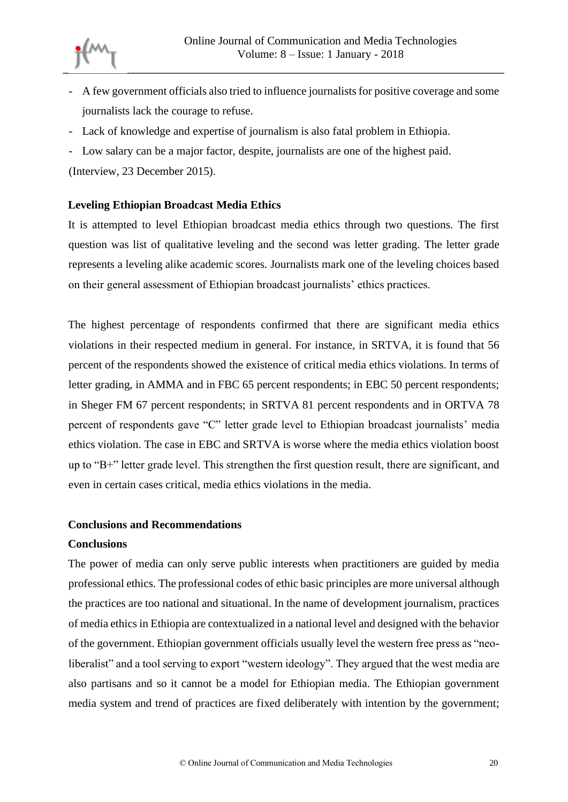

- A few government officials also tried to influence journalists for positive coverage and some journalists lack the courage to refuse.
- Lack of knowledge and expertise of journalism is also fatal problem in Ethiopia.
- Low salary can be a major factor, despite, journalists are one of the highest paid.

(Interview, 23 December 2015).

### **Leveling Ethiopian Broadcast Media Ethics**

It is attempted to level Ethiopian broadcast media ethics through two questions. The first question was list of qualitative leveling and the second was letter grading. The letter grade represents a leveling alike academic scores. Journalists mark one of the leveling choices based on their general assessment of Ethiopian broadcast journalists' ethics practices.

The highest percentage of respondents confirmed that there are significant media ethics violations in their respected medium in general. For instance, in SRTVA, it is found that 56 percent of the respondents showed the existence of critical media ethics violations. In terms of letter grading, in AMMA and in FBC 65 percent respondents; in EBC 50 percent respondents; in Sheger FM 67 percent respondents; in SRTVA 81 percent respondents and in ORTVA 78 percent of respondents gave "C" letter grade level to Ethiopian broadcast journalists' media ethics violation. The case in EBC and SRTVA is worse where the media ethics violation boost up to "B+" letter grade level. This strengthen the first question result, there are significant, and even in certain cases critical, media ethics violations in the media.

### **Conclusions and Recommendations**

### **Conclusions**

The power of media can only serve public interests when practitioners are guided by media professional ethics. The professional codes of ethic basic principles are more universal although the practices are too national and situational. In the name of development journalism, practices of media ethics in Ethiopia are contextualized in a national level and designed with the behavior of the government. Ethiopian government officials usually level the western free press as "neoliberalist" and a tool serving to export "western ideology". They argued that the west media are also partisans and so it cannot be a model for Ethiopian media. The Ethiopian government media system and trend of practices are fixed deliberately with intention by the government;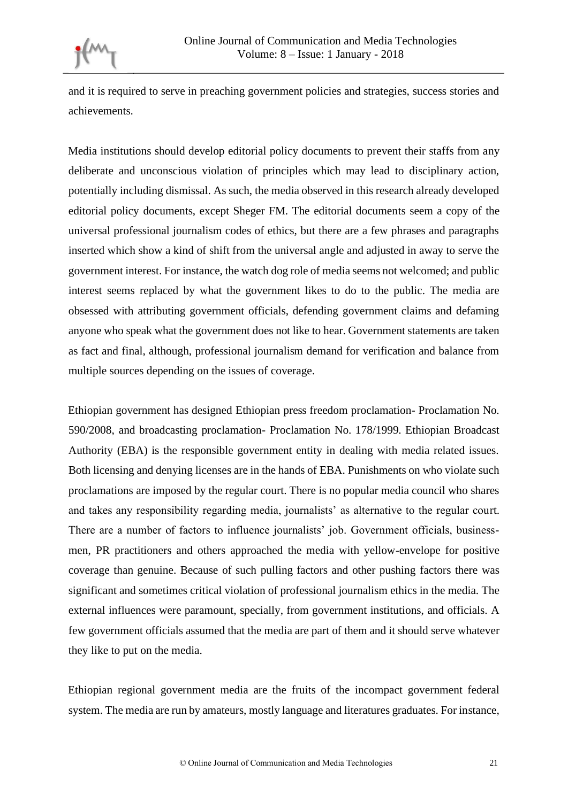

and it is required to serve in preaching government policies and strategies, success stories and achievements.

Media institutions should develop editorial policy documents to prevent their staffs from any deliberate and unconscious violation of principles which may lead to disciplinary action, potentially including dismissal. As such, the media observed in this research already developed editorial policy documents, except Sheger FM. The editorial documents seem a copy of the universal professional journalism codes of ethics, but there are a few phrases and paragraphs inserted which show a kind of shift from the universal angle and adjusted in away to serve the government interest. For instance, the watch dog role of media seems not welcomed; and public interest seems replaced by what the government likes to do to the public. The media are obsessed with attributing government officials, defending government claims and defaming anyone who speak what the government does not like to hear. Government statements are taken as fact and final, although, professional journalism demand for verification and balance from multiple sources depending on the issues of coverage.

Ethiopian government has designed Ethiopian press freedom proclamation- Proclamation No. 590/2008, and broadcasting proclamation- Proclamation No. 178/1999. Ethiopian Broadcast Authority (EBA) is the responsible government entity in dealing with media related issues. Both licensing and denying licenses are in the hands of EBA. Punishments on who violate such proclamations are imposed by the regular court. There is no popular media council who shares and takes any responsibility regarding media, journalists' as alternative to the regular court. There are a number of factors to influence journalists' job. Government officials, businessmen, PR practitioners and others approached the media with yellow-envelope for positive coverage than genuine. Because of such pulling factors and other pushing factors there was significant and sometimes critical violation of professional journalism ethics in the media. The external influences were paramount, specially, from government institutions, and officials. A few government officials assumed that the media are part of them and it should serve whatever they like to put on the media.

Ethiopian regional government media are the fruits of the incompact government federal system. The media are run by amateurs, mostly language and literatures graduates. For instance,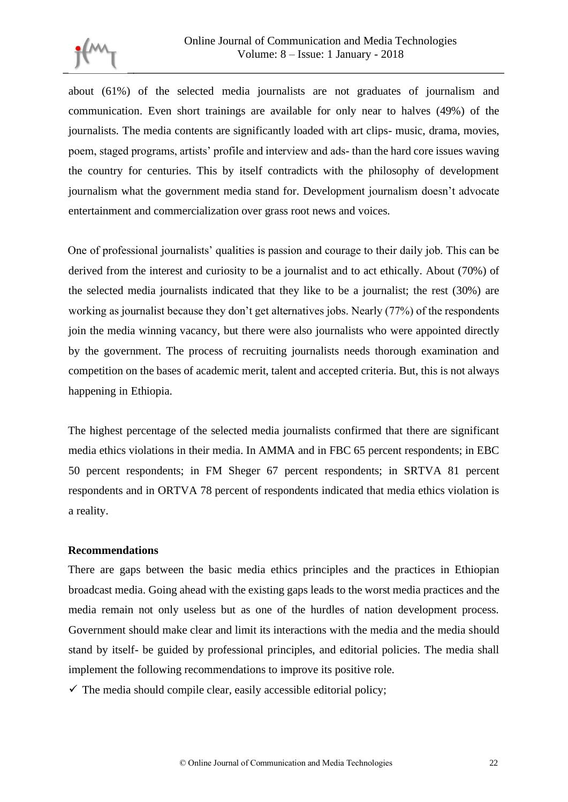

about (61%) of the selected media journalists are not graduates of journalism and communication. Even short trainings are available for only near to halves (49%) of the journalists. The media contents are significantly loaded with art clips- music, drama, movies, poem, staged programs, artists' profile and interview and ads- than the hard core issues waving the country for centuries. This by itself contradicts with the philosophy of development journalism what the government media stand for. Development journalism doesn't advocate entertainment and commercialization over grass root news and voices.

One of professional journalists' qualities is passion and courage to their daily job. This can be derived from the interest and curiosity to be a journalist and to act ethically. About (70%) of the selected media journalists indicated that they like to be a journalist; the rest (30%) are working as journalist because they don't get alternatives jobs. Nearly (77%) of the respondents join the media winning vacancy, but there were also journalists who were appointed directly by the government. The process of recruiting journalists needs thorough examination and competition on the bases of academic merit, talent and accepted criteria. But, this is not always happening in Ethiopia.

The highest percentage of the selected media journalists confirmed that there are significant media ethics violations in their media. In AMMA and in FBC 65 percent respondents; in EBC 50 percent respondents; in FM Sheger 67 percent respondents; in SRTVA 81 percent respondents and in ORTVA 78 percent of respondents indicated that media ethics violation is a reality.

#### **Recommendations**

There are gaps between the basic media ethics principles and the practices in Ethiopian broadcast media. Going ahead with the existing gaps leads to the worst media practices and the media remain not only useless but as one of the hurdles of nation development process. Government should make clear and limit its interactions with the media and the media should stand by itself- be guided by professional principles, and editorial policies. The media shall implement the following recommendations to improve its positive role.

 $\checkmark$  The media should compile clear, easily accessible editorial policy;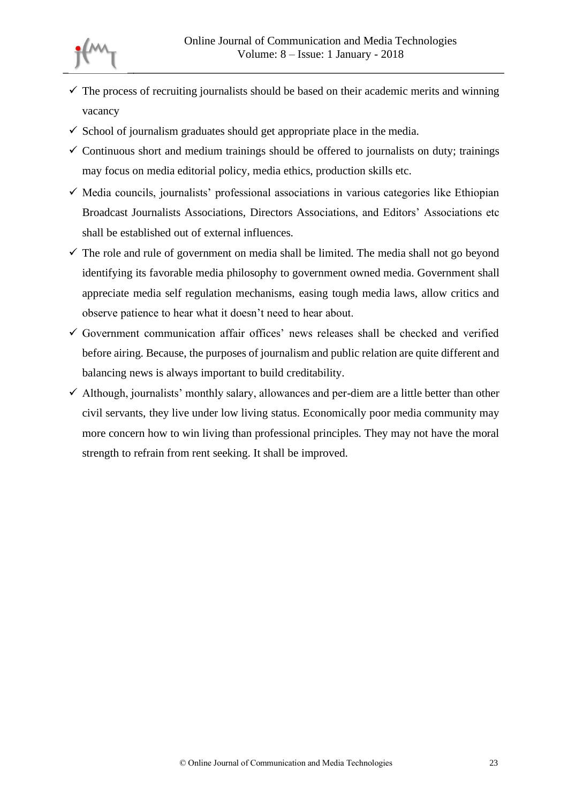

- $\checkmark$  The process of recruiting journalists should be based on their academic merits and winning vacancy
- $\checkmark$  School of journalism graduates should get appropriate place in the media.
- $\checkmark$  Continuous short and medium trainings should be offered to journalists on duty; trainings may focus on media editorial policy, media ethics, production skills etc.
- $\checkmark$  Media councils, journalists' professional associations in various categories like Ethiopian Broadcast Journalists Associations, Directors Associations, and Editors' Associations etc shall be established out of external influences.
- $\checkmark$  The role and rule of government on media shall be limited. The media shall not go beyond identifying its favorable media philosophy to government owned media. Government shall appreciate media self regulation mechanisms, easing tough media laws, allow critics and observe patience to hear what it doesn't need to hear about.
- $\checkmark$  Government communication affair offices' news releases shall be checked and verified before airing. Because, the purposes of journalism and public relation are quite different and balancing news is always important to build creditability.
- $\checkmark$  Although, journalists' monthly salary, allowances and per-diem are a little better than other civil servants, they live under low living status. Economically poor media community may more concern how to win living than professional principles. They may not have the moral strength to refrain from rent seeking. It shall be improved.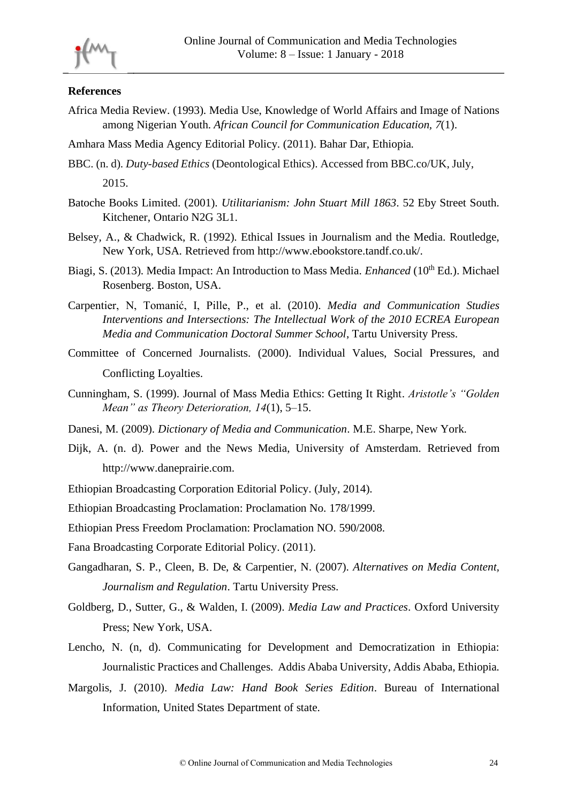

#### **References**

- Africa Media Review. (1993). Media Use, Knowledge of World Affairs and Image of Nations among Nigerian Youth. *African Council for Communication Education, 7*(1).
- Amhara Mass Media Agency Editorial Policy. (2011). Bahar Dar, Ethiopia.
- BBC. (n. d). *Duty-based Ethics* (Deontological Ethics). Accessed from BBC.co/UK, July, 2015.
- Batoche Books Limited. (2001). *Utilitarianism: John Stuart Mill 1863*. 52 Eby Street South. Kitchener, Ontario N2G 3L1.
- Belsey, A., & Chadwick, R. (1992). Ethical Issues in Journalism and the Media. Routledge, New York, USA. Retrieved from http://www.ebookstore.tandf.co.uk/.
- Biagi, S. (2013). Media Impact: An Introduction to Mass Media. *Enhanced* (10<sup>th</sup> Ed.). Michael Rosenberg. Boston, USA.
- Carpentier, N, Tomanić, I, Pille, P., et al. (2010). *Media and Communication Studies Interventions and Intersections: The Intellectual Work of the 2010 ECREA European Media and Communication Doctoral Summer School*, Tartu University Press.
- Committee of Concerned Journalists. (2000). Individual Values, Social Pressures, and Conflicting Loyalties.
- Cunningham, S. (1999). Journal of Mass Media Ethics: Getting It Right. *Aristotle's "Golden Mean" as Theory Deterioration, 14*(1), 5–15.
- Danesi, M. (2009). *Dictionary of Media and Communication*. M.E. Sharpe, New York.
- Dijk, A. (n. d). Power and the News Media, University of Amsterdam. Retrieved from [http://www.daneprairie.com.](http://www.daneprairie.com/)
- Ethiopian Broadcasting Corporation Editorial Policy. (July, 2014).
- Ethiopian Broadcasting Proclamation: Proclamation No. 178/1999.
- Ethiopian Press Freedom Proclamation: Proclamation NO. 590/2008.
- Fana Broadcasting Corporate Editorial Policy. (2011).
- Gangadharan, S. P., Cleen, B. De, & Carpentier, N. (2007). *Alternatives on Media Content, Journalism and Regulation*. Tartu University Press.
- Goldberg, D., Sutter, G., & Walden, I. (2009). *Media Law and Practices*. Oxford University Press; New York, USA.
- Lencho, N. (n, d). Communicating for Development and Democratization in Ethiopia: Journalistic Practices and Challenges. Addis Ababa University, Addis Ababa, Ethiopia.
- Margolis, J. (2010). *Media Law: Hand Book Series Edition*. Bureau of International Information, United States Department of state.